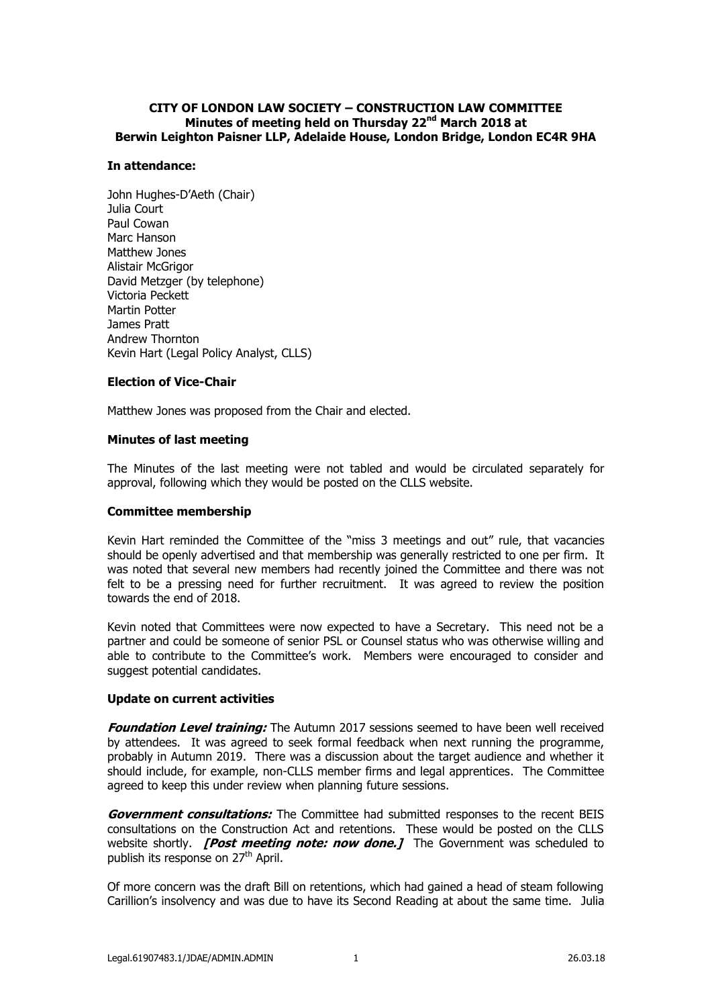# **CITY OF LONDON LAW SOCIETY – CONSTRUCTION LAW COMMITTEE Minutes of meeting held on Thursday 22nd March 2018 at Berwin Leighton Paisner LLP, Adelaide House, London Bridge, London EC4R 9HA**

## **In attendance:**

John Hughes-D'Aeth (Chair) Julia Court Paul Cowan Marc Hanson Matthew Jones Alistair McGrigor David Metzger (by telephone) Victoria Peckett Martin Potter James Pratt Andrew Thornton Kevin Hart (Legal Policy Analyst, CLLS)

# **Election of Vice-Chair**

Matthew Jones was proposed from the Chair and elected.

## **Minutes of last meeting**

The Minutes of the last meeting were not tabled and would be circulated separately for approval, following which they would be posted on the CLLS website.

#### **Committee membership**

Kevin Hart reminded the Committee of the "miss 3 meetings and out" rule, that vacancies should be openly advertised and that membership was generally restricted to one per firm. It was noted that several new members had recently joined the Committee and there was not felt to be a pressing need for further recruitment. It was agreed to review the position towards the end of 2018.

Kevin noted that Committees were now expected to have a Secretary. This need not be a partner and could be someone of senior PSL or Counsel status who was otherwise willing and able to contribute to the Committee's work. Members were encouraged to consider and suggest potential candidates.

## **Update on current activities**

**Foundation Level training:** The Autumn 2017 sessions seemed to have been well received by attendees. It was agreed to seek formal feedback when next running the programme, probably in Autumn 2019. There was a discussion about the target audience and whether it should include, for example, non-CLLS member firms and legal apprentices. The Committee agreed to keep this under review when planning future sessions.

**Government consultations:** The Committee had submitted responses to the recent BEIS consultations on the Construction Act and retentions. These would be posted on the CLLS website shortly. **[Post meeting note: now done.]** The Government was scheduled to publish its response on 27<sup>th</sup> April.

Of more concern was the draft Bill on retentions, which had gained a head of steam following Carillion's insolvency and was due to have its Second Reading at about the same time. Julia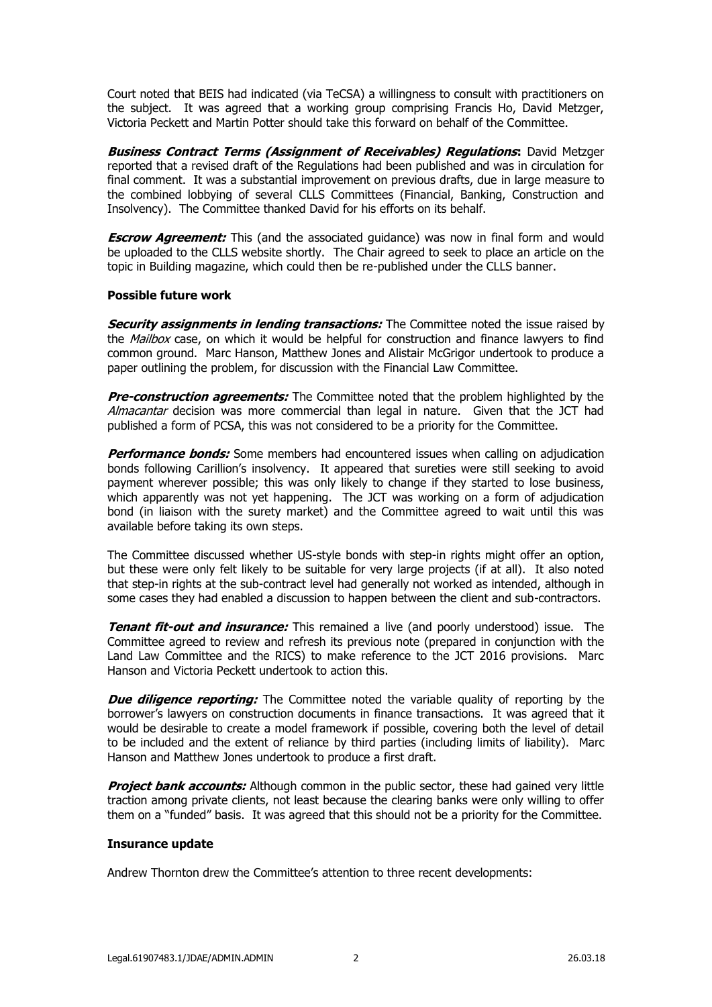Court noted that BEIS had indicated (via TeCSA) a willingness to consult with practitioners on the subject. It was agreed that a working group comprising Francis Ho, David Metzger, Victoria Peckett and Martin Potter should take this forward on behalf of the Committee.

**Business Contract Terms (Assignment of Receivables) Regulations:** David Metzger reported that a revised draft of the Regulations had been published and was in circulation for final comment. It was a substantial improvement on previous drafts, due in large measure to the combined lobbying of several CLLS Committees (Financial, Banking, Construction and Insolvency). The Committee thanked David for his efforts on its behalf.

**Escrow Agreement:** This (and the associated guidance) was now in final form and would be uploaded to the CLLS website shortly. The Chair agreed to seek to place an article on the topic in Building magazine, which could then be re-published under the CLLS banner.

## **Possible future work**

**Security assignments in lending transactions:** The Committee noted the issue raised by the *Mailbox* case, on which it would be helpful for construction and finance lawyers to find common ground. Marc Hanson, Matthew Jones and Alistair McGrigor undertook to produce a paper outlining the problem, for discussion with the Financial Law Committee.

**Pre-construction agreements:** The Committee noted that the problem highlighted by the Almacantar decision was more commercial than legal in nature. Given that the JCT had published a form of PCSA, this was not considered to be a priority for the Committee.

**Performance bonds:** Some members had encountered issues when calling on adjudication bonds following Carillion's insolvency. It appeared that sureties were still seeking to avoid payment wherever possible; this was only likely to change if they started to lose business, which apparently was not yet happening. The JCT was working on a form of adjudication bond (in liaison with the surety market) and the Committee agreed to wait until this was available before taking its own steps.

The Committee discussed whether US-style bonds with step-in rights might offer an option, but these were only felt likely to be suitable for very large projects (if at all). It also noted that step-in rights at the sub-contract level had generally not worked as intended, although in some cases they had enabled a discussion to happen between the client and sub-contractors.

**Tenant fit-out and insurance:** This remained a live (and poorly understood) issue. The Committee agreed to review and refresh its previous note (prepared in conjunction with the Land Law Committee and the RICS) to make reference to the JCT 2016 provisions. Marc Hanson and Victoria Peckett undertook to action this.

**Due diligence reporting:** The Committee noted the variable quality of reporting by the borrower's lawyers on construction documents in finance transactions. It was agreed that it would be desirable to create a model framework if possible, covering both the level of detail to be included and the extent of reliance by third parties (including limits of liability). Marc Hanson and Matthew Jones undertook to produce a first draft.

**Project bank accounts:** Although common in the public sector, these had gained very little traction among private clients, not least because the clearing banks were only willing to offer them on a "funded" basis. It was agreed that this should not be a priority for the Committee.

#### **Insurance update**

Andrew Thornton drew the Committee's attention to three recent developments: